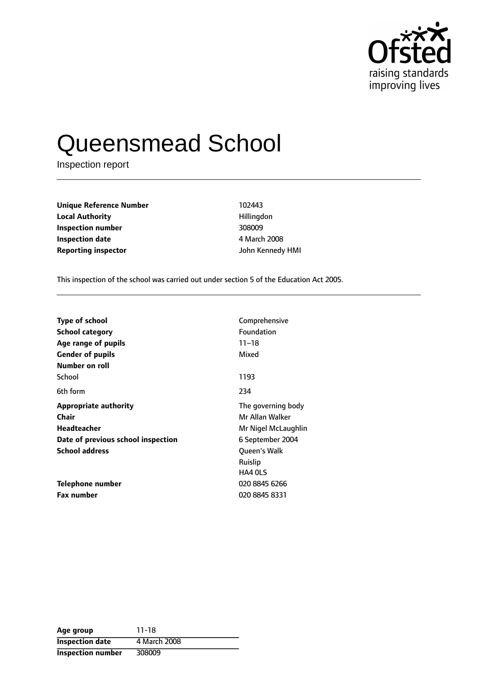

# Queensmead School

Inspection report

**Unique Reference Number** 102443 **Local Authority Hillingdon Inspection number** 308009 **Inspection date** 4 March 2008 **Reporting inspector** John Kennedy HMI

This inspection of the school was carried out under section 5 of the Education Act 2005.

| <b>Type of school</b>              | Comprehensive       |
|------------------------------------|---------------------|
| <b>School category</b>             | Foundation          |
| Age range of pupils                | $11 - 18$           |
| <b>Gender of pupils</b>            | Mixed               |
| Number on roll                     |                     |
| School                             | 1193                |
| 6th form                           | 234                 |
| <b>Appropriate authority</b>       | The governing body  |
| Chair                              | Mr Allan Walker     |
| Headteacher                        | Mr Nigel McLaughlin |
| Date of previous school inspection | 6 September 2004    |
| <b>School address</b>              | <b>Oueen's Walk</b> |
|                                    | Ruislip             |
|                                    | <b>HA4 0LS</b>      |
| Telephone number                   | 020 8845 6266       |
| <b>Fax number</b>                  | 020 8845 8331       |

| Age group                | $11 - 18$    |
|--------------------------|--------------|
| <b>Inspection date</b>   | 4 March 2008 |
| <b>Inspection number</b> | 308009       |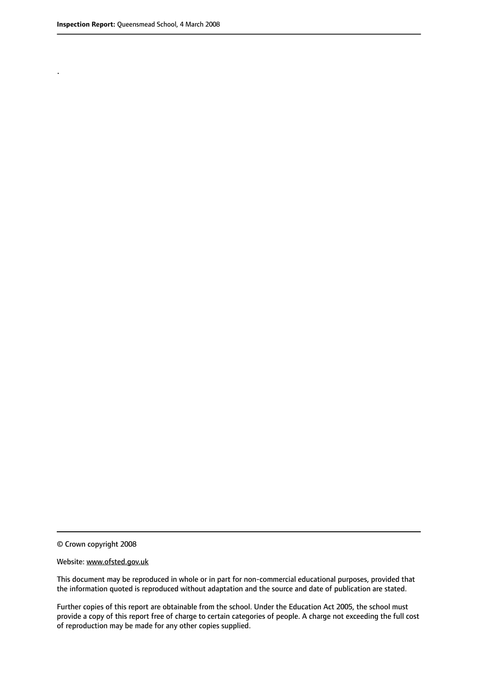.

© Crown copyright 2008

#### Website: www.ofsted.gov.uk

This document may be reproduced in whole or in part for non-commercial educational purposes, provided that the information quoted is reproduced without adaptation and the source and date of publication are stated.

Further copies of this report are obtainable from the school. Under the Education Act 2005, the school must provide a copy of this report free of charge to certain categories of people. A charge not exceeding the full cost of reproduction may be made for any other copies supplied.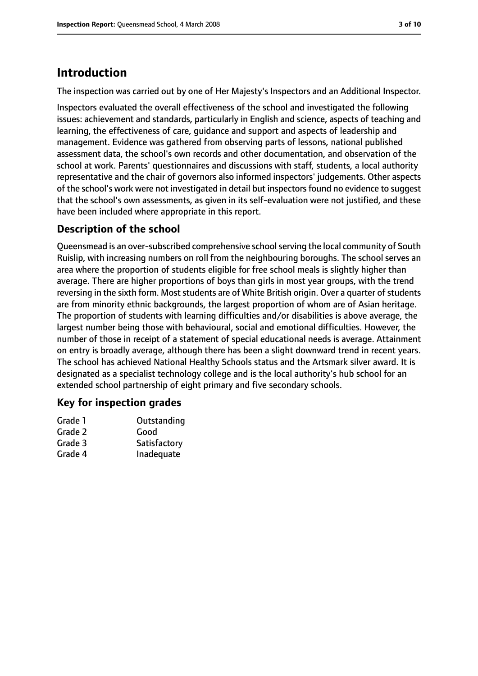# **Introduction**

The inspection was carried out by one of Her Majesty's Inspectors and an Additional Inspector.

Inspectors evaluated the overall effectiveness of the school and investigated the following issues: achievement and standards, particularly in English and science, aspects of teaching and learning, the effectiveness of care, guidance and support and aspects of leadership and management. Evidence was gathered from observing parts of lessons, national published assessment data, the school's own records and other documentation, and observation of the school at work. Parents' questionnaires and discussions with staff, students, a local authority representative and the chair of governors also informed inspectors' judgements. Other aspects of the school's work were not investigated in detail but inspectorsfound no evidence to suggest that the school's own assessments, as given in its self-evaluation were not justified, and these have been included where appropriate in this report.

# **Description of the school**

Queensmead is an over-subscribed comprehensive school serving the local community of South Ruislip, with increasing numbers on roll from the neighbouring boroughs. The school serves an area where the proportion of students eligible for free school meals is slightly higher than average. There are higher proportions of boys than girls in most year groups, with the trend reversing in the sixth form. Most students are of White British origin. Over a quarter of students are from minority ethnic backgrounds, the largest proportion of whom are of Asian heritage. The proportion of students with learning difficulties and/or disabilities is above average, the largest number being those with behavioural, social and emotional difficulties. However, the number of those in receipt of a statement of special educational needs is average. Attainment on entry is broadly average, although there has been a slight downward trend in recent years. The school has achieved National Healthy Schools status and the Artsmark silver award. It is designated as a specialist technology college and is the local authority's hub school for an extended school partnership of eight primary and five secondary schools.

### **Key for inspection grades**

| Grade 1 | Outstanding  |
|---------|--------------|
| Grade 2 | Good         |
| Grade 3 | Satisfactory |
| Grade 4 | Inadequate   |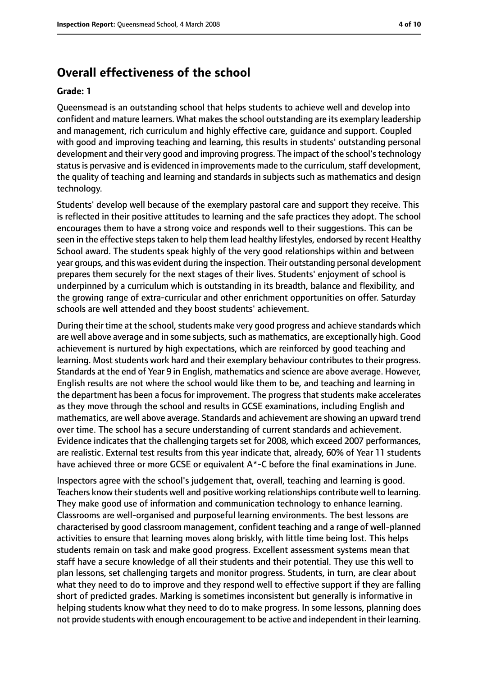# **Overall effectiveness of the school**

#### **Grade: 1**

Queensmead is an outstanding school that helps students to achieve well and develop into confident and mature learners. What makes the school outstanding are its exemplary leadership and management, rich curriculum and highly effective care, guidance and support. Coupled with good and improving teaching and learning, this results in students' outstanding personal development and their very good and improving progress. The impact of the school's technology status is pervasive and is evidenced in improvements made to the curriculum, staff development, the quality of teaching and learning and standards in subjects such as mathematics and design technology.

Students' develop well because of the exemplary pastoral care and support they receive. This is reflected in their positive attitudes to learning and the safe practices they adopt. The school encourages them to have a strong voice and responds well to their suggestions. This can be seen in the effective steps taken to help them lead healthy lifestyles, endorsed by recent Healthy School award. The students speak highly of the very good relationships within and between year groups, and this was evident during the inspection. Their outstanding personal development prepares them securely for the next stages of their lives. Students' enjoyment of school is underpinned by a curriculum which is outstanding in its breadth, balance and flexibility, and the growing range of extra-curricular and other enrichment opportunities on offer. Saturday schools are well attended and they boost students' achievement.

During their time at the school, students make very good progress and achieve standards which are well above average and in some subjects, such as mathematics, are exceptionally high. Good achievement is nurtured by high expectations, which are reinforced by good teaching and learning. Most students work hard and their exemplary behaviour contributes to their progress. Standards at the end of Year 9 in English, mathematics and science are above average. However, English results are not where the school would like them to be, and teaching and learning in the department has been a focus for improvement. The progress that students make accelerates as they move through the school and results in GCSE examinations, including English and mathematics, are well above average. Standards and achievement are showing an upward trend over time. The school has a secure understanding of current standards and achievement. Evidence indicates that the challenging targets set for 2008, which exceed 2007 performances, are realistic. External test results from this year indicate that, already, 60% of Year 11 students have achieved three or more GCSE or equivalent A\*-C before the final examinations in June.

Inspectors agree with the school's judgement that, overall, teaching and learning is good. Teachers know their students well and positive working relationships contribute well to learning. They make good use of information and communication technology to enhance learning. Classrooms are well-organised and purposeful learning environments. The best lessons are characterised by good classroom management, confident teaching and a range of well-planned activities to ensure that learning moves along briskly, with little time being lost. This helps students remain on task and make good progress. Excellent assessment systems mean that staff have a secure knowledge of all their students and their potential. They use this well to plan lessons, set challenging targets and monitor progress. Students, in turn, are clear about what they need to do to improve and they respond well to effective support if they are falling short of predicted grades. Marking is sometimes inconsistent but generally is informative in helping students know what they need to do to make progress. In some lessons, planning does not provide students with enough encouragement to be active and independent in their learning.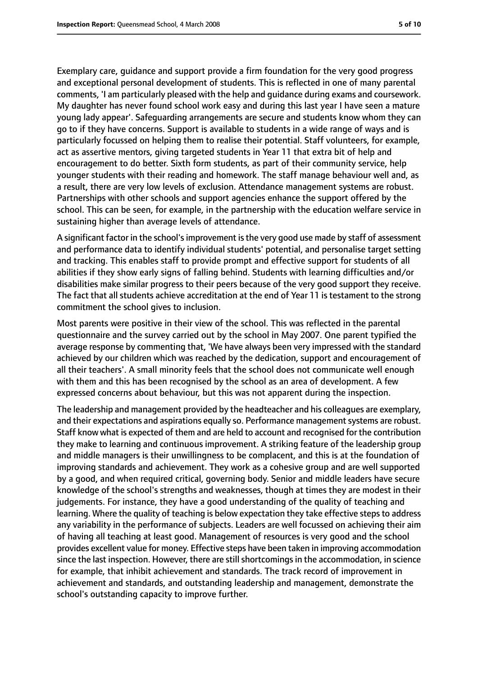Exemplary care, guidance and support provide a firm foundation for the very good progress and exceptional personal development of students. This is reflected in one of many parental comments, 'I am particularly pleased with the help and guidance during exams and coursework. My daughter has never found school work easy and during this last year I have seen a mature young lady appear'. Safeguarding arrangements are secure and students know whom they can go to if they have concerns. Support is available to students in a wide range of ways and is particularly focussed on helping them to realise their potential. Staff volunteers, for example, act as assertive mentors, giving targeted students in Year 11 that extra bit of help and encouragement to do better. Sixth form students, as part of their community service, help younger students with their reading and homework. The staff manage behaviour well and, as a result, there are very low levels of exclusion. Attendance management systems are robust. Partnerships with other schools and support agencies enhance the support offered by the school. This can be seen, for example, in the partnership with the education welfare service in sustaining higher than average levels of attendance.

A significant factor in the school's improvement is the very good use made by staff of assessment and performance data to identify individual students' potential, and personalise target setting and tracking. This enables staff to provide prompt and effective support for students of all abilities if they show early signs of falling behind. Students with learning difficulties and/or disabilities make similar progress to their peers because of the very good support they receive. The fact that all students achieve accreditation at the end of Year 11 is testament to the strong commitment the school gives to inclusion.

Most parents were positive in their view of the school. This was reflected in the parental questionnaire and the survey carried out by the school in May 2007. One parent typified the average response by commenting that, 'We have always been very impressed with the standard achieved by our children which was reached by the dedication, support and encouragement of all their teachers'. A small minority feels that the school does not communicate well enough with them and this has been recognised by the school as an area of development. A few expressed concerns about behaviour, but this was not apparent during the inspection.

The leadership and management provided by the headteacher and his colleagues are exemplary, and their expectations and aspirations equally so. Performance management systems are robust. Staff know what is expected of them and are held to account and recognised for the contribution they make to learning and continuous improvement. A striking feature of the leadership group and middle managers is their unwillingness to be complacent, and this is at the foundation of improving standards and achievement. They work as a cohesive group and are well supported by a good, and when required critical, governing body. Senior and middle leaders have secure knowledge of the school's strengths and weaknesses, though at times they are modest in their judgements. For instance, they have a good understanding of the quality of teaching and learning. Where the quality of teaching is below expectation they take effective steps to address any variability in the performance of subjects. Leaders are well focussed on achieving their aim of having all teaching at least good. Management of resources is very good and the school provides excellent value for money. Effective steps have been taken in improving accommodation since the last inspection. However, there are still shortcomings in the accommodation, in science for example, that inhibit achievement and standards. The track record of improvement in achievement and standards, and outstanding leadership and management, demonstrate the school's outstanding capacity to improve further.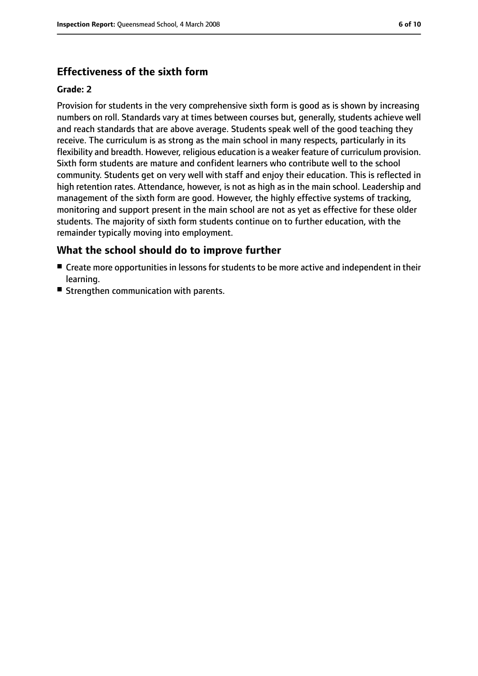# **Effectiveness of the sixth form**

### **Grade: 2**

Provision for students in the very comprehensive sixth form is good as is shown by increasing numbers on roll. Standards vary at times between courses but, generally, students achieve well and reach standards that are above average. Students speak well of the good teaching they receive. The curriculum is as strong as the main school in many respects, particularly in its flexibility and breadth. However, religious education is a weaker feature of curriculum provision. Sixth form students are mature and confident learners who contribute well to the school community. Students get on very well with staff and enjoy their education. This is reflected in high retention rates. Attendance, however, is not as high as in the main school. Leadership and management of the sixth form are good. However, the highly effective systems of tracking, monitoring and support present in the main school are not as yet as effective for these older students. The majority of sixth form students continue on to further education, with the remainder typically moving into employment.

### **What the school should do to improve further**

- Create more opportunities in lessons for students to be more active and independent in their learning.
- Strengthen communication with parents.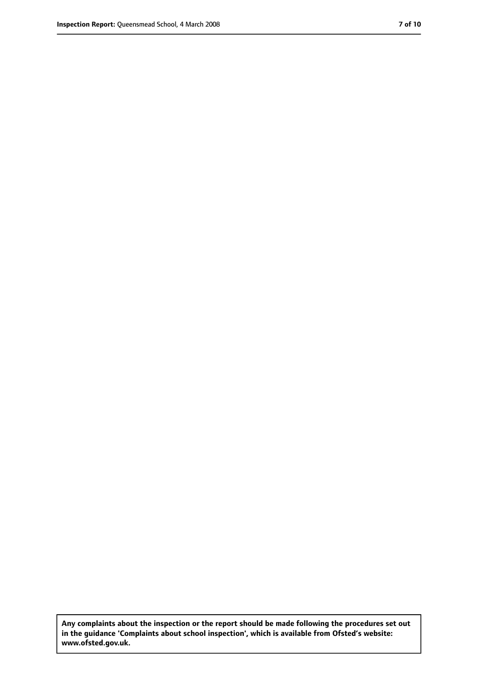**Any complaints about the inspection or the report should be made following the procedures set out in the guidance 'Complaints about school inspection', which is available from Ofsted's website: www.ofsted.gov.uk.**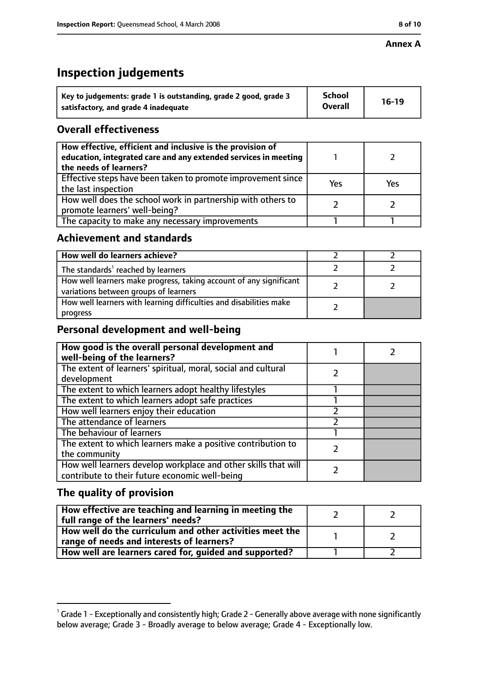# **Inspection judgements**

| Key to judgements: grade 1 is outstanding, grade 2 good, grade 3 | <b>School</b>  | $16-19$ |
|------------------------------------------------------------------|----------------|---------|
| satisfactory, and grade 4 inadequate                             | <b>Overall</b> |         |

### **Overall effectiveness**

| How effective, efficient and inclusive is the provision of<br>education, integrated care and any extended services in meeting<br>the needs of learners? |     |     |
|---------------------------------------------------------------------------------------------------------------------------------------------------------|-----|-----|
| Effective steps have been taken to promote improvement since<br>the last inspection                                                                     | Yes | Yes |
| How well does the school work in partnership with others to<br>promote learners' well-being?                                                            |     |     |
| The capacity to make any necessary improvements                                                                                                         |     |     |

### **Achievement and standards**

| How well do learners achieve?                                                                               |  |
|-------------------------------------------------------------------------------------------------------------|--|
| The standards <sup>1</sup> reached by learners                                                              |  |
| How well learners make progress, taking account of any significant<br>variations between groups of learners |  |
| How well learners with learning difficulties and disabilities make<br>progress                              |  |

# **Personal development and well-being**

| How good is the overall personal development and<br>well-being of the learners?                                  |  |
|------------------------------------------------------------------------------------------------------------------|--|
| The extent of learners' spiritual, moral, social and cultural                                                    |  |
| development                                                                                                      |  |
| The extent to which learners adopt healthy lifestyles                                                            |  |
| The extent to which learners adopt safe practices                                                                |  |
| How well learners enjoy their education                                                                          |  |
| The attendance of learners                                                                                       |  |
| The behaviour of learners                                                                                        |  |
| The extent to which learners make a positive contribution to                                                     |  |
| the community                                                                                                    |  |
| How well learners develop workplace and other skills that will<br>contribute to their future economic well-being |  |

# **The quality of provision**

| How effective are teaching and learning in meeting the<br>full range of the learners' needs?          |  |
|-------------------------------------------------------------------------------------------------------|--|
| How well do the curriculum and other activities meet the<br>range of needs and interests of learners? |  |
| How well are learners cared for, guided and supported?                                                |  |

 $^1$  Grade 1 - Exceptionally and consistently high; Grade 2 - Generally above average with none significantly below average; Grade 3 - Broadly average to below average; Grade 4 - Exceptionally low.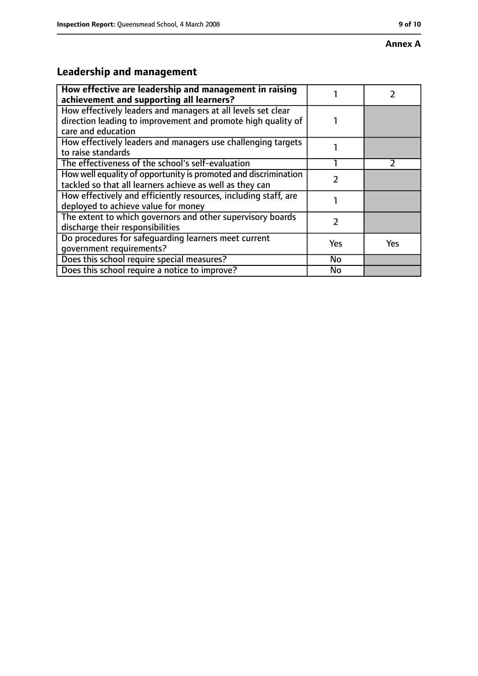#### **Annex A**

# **Leadership and management**

| How effective are leadership and management in raising<br>achievement and supporting all learners?                                                 |     |               |
|----------------------------------------------------------------------------------------------------------------------------------------------------|-----|---------------|
| How effectively leaders and managers at all levels set clear<br>direction leading to improvement and promote high quality of<br>care and education |     |               |
| How effectively leaders and managers use challenging targets<br>to raise standards                                                                 |     |               |
| The effectiveness of the school's self-evaluation                                                                                                  |     | $\mathcal{P}$ |
| How well equality of opportunity is promoted and discrimination<br>tackled so that all learners achieve as well as they can                        |     |               |
| How effectively and efficiently resources, including staff, are<br>deployed to achieve value for money                                             |     |               |
| The extent to which governors and other supervisory boards<br>discharge their responsibilities                                                     | 2   |               |
| Do procedures for safequarding learners meet current<br>qovernment requirements?                                                                   | Yes | <b>Yes</b>    |
| Does this school require special measures?                                                                                                         | No  |               |
| Does this school require a notice to improve?                                                                                                      | No  |               |